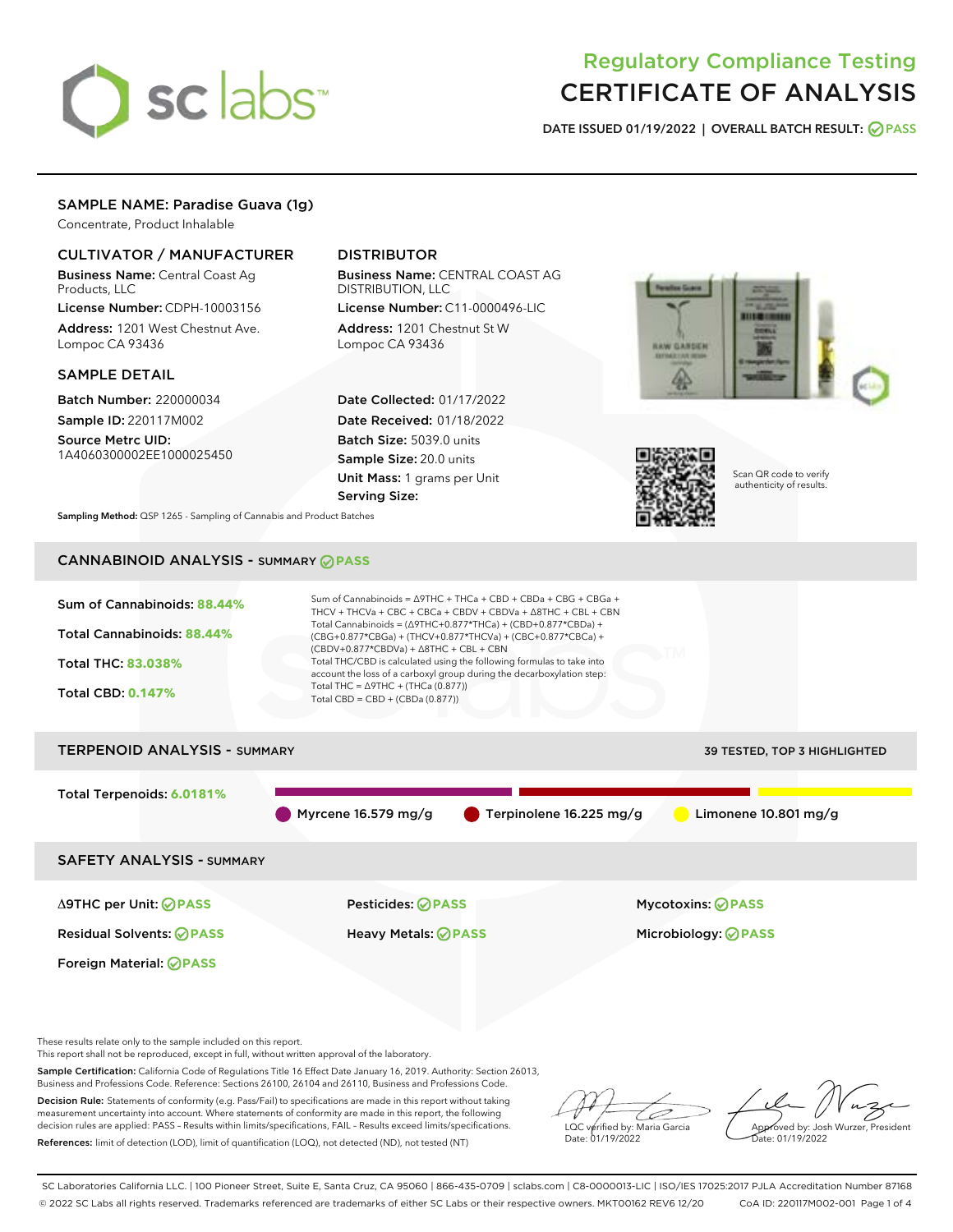# sclabs<sup>\*</sup>

# Regulatory Compliance Testing CERTIFICATE OF ANALYSIS

DATE ISSUED 01/19/2022 | OVERALL BATCH RESULT: @ PASS

# SAMPLE NAME: Paradise Guava (1g)

Concentrate, Product Inhalable

# CULTIVATOR / MANUFACTURER

Business Name: Central Coast Ag Products, LLC

License Number: CDPH-10003156 Address: 1201 West Chestnut Ave. Lompoc CA 93436

# SAMPLE DETAIL

Batch Number: 220000034 Sample ID: 220117M002

Source Metrc UID: 1A4060300002EE1000025450

# DISTRIBUTOR

Business Name: CENTRAL COAST AG DISTRIBUTION, LLC

License Number: C11-0000496-LIC Address: 1201 Chestnut St W Lompoc CA 93436

Date Collected: 01/17/2022 Date Received: 01/18/2022 Batch Size: 5039.0 units Sample Size: 20.0 units Unit Mass: 1 grams per Unit Serving Size:





Scan QR code to verify authenticity of results.

Sampling Method: QSP 1265 - Sampling of Cannabis and Product Batches

# CANNABINOID ANALYSIS - SUMMARY **PASS**



Decision Rule: Statements of conformity (e.g. Pass/Fail) to specifications are made in this report without taking measurement uncertainty into account. Where statements of conformity are made in this report, the following decision rules are applied: PASS – Results within limits/specifications, FAIL – Results exceed limits/specifications. References: limit of detection (LOD), limit of quantification (LOQ), not detected (ND), not tested (NT)

Ò LQC verified by: Maria Garcia Date: 01/19/2022

Approved by: Josh Wurzer, President  $\frac{1}{2}$ ite: 01/19/2022

SC Laboratories California LLC. | 100 Pioneer Street, Suite E, Santa Cruz, CA 95060 | 866-435-0709 | sclabs.com | C8-0000013-LIC | ISO/IES 17025:2017 PJLA Accreditation Number 87168 © 2022 SC Labs all rights reserved. Trademarks referenced are trademarks of either SC Labs or their respective owners. MKT00162 REV6 12/20 CoA ID: 220117M002-001 Page 1 of 4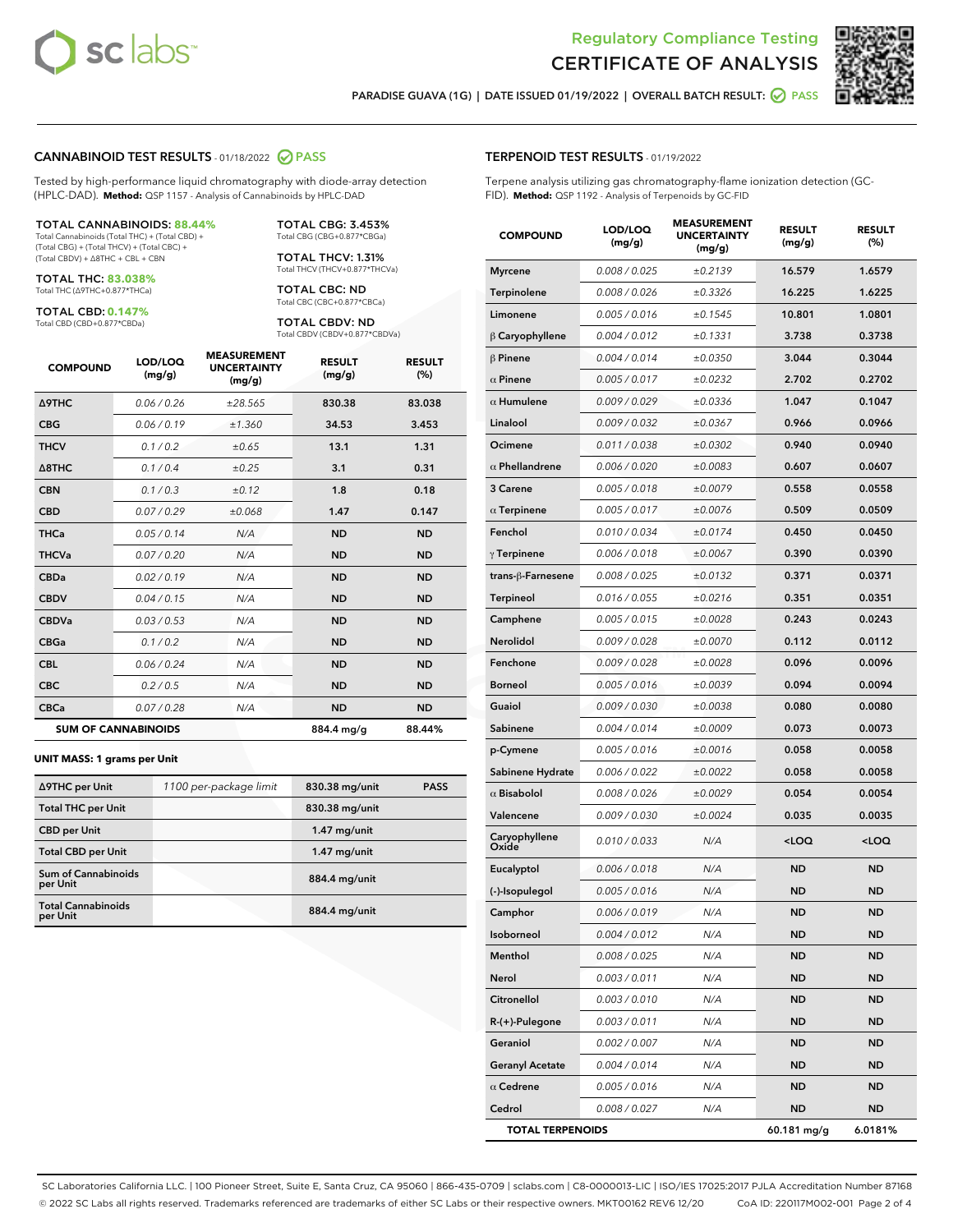



RESULT (%)

PARADISE GUAVA (1G) | DATE ISSUED 01/19/2022 | OVERALL BATCH RESULT:  $\bigcirc$  PASS

# CANNABINOID TEST RESULTS - 01/18/2022 2 PASS

Tested by high-performance liquid chromatography with diode-array detection (HPLC-DAD). **Method:** QSP 1157 - Analysis of Cannabinoids by HPLC-DAD

### TOTAL CANNABINOIDS: **88.44%**

Total Cannabinoids (Total THC) + (Total CBD) + (Total CBG) + (Total THCV) + (Total CBC) + (Total CBDV) + ∆8THC + CBL + CBN

TOTAL THC: **83.038%** Total THC (∆9THC+0.877\*THCa)

TOTAL CBD: **0.147%**

Total CBD (CBD+0.877\*CBDa)

TOTAL CBG: 3.453% Total CBG (CBG+0.877\*CBGa)

TOTAL THCV: 1.31% Total THCV (THCV+0.877\*THCVa)

TOTAL CBC: ND Total CBC (CBC+0.877\*CBCa)

TOTAL CBDV: ND Total CBDV (CBDV+0.877\*CBDVa)

| <b>COMPOUND</b>  | LOD/LOQ<br>(mg/g)          | <b>MEASUREMENT</b><br><b>UNCERTAINTY</b><br>(mg/g) | <b>RESULT</b><br>(mg/g) | <b>RESULT</b><br>(%) |
|------------------|----------------------------|----------------------------------------------------|-------------------------|----------------------|
| <b>A9THC</b>     | 0.06 / 0.26                | ±28.565                                            | 830.38                  | 83.038               |
| <b>CBG</b>       | 0.06/0.19                  | ±1.360                                             | 34.53                   | 3.453                |
| <b>THCV</b>      | 0.1 / 0.2                  | ±0.65                                              | 13.1                    | 1.31                 |
| $\triangle$ 8THC | 0.1/0.4                    | ±0.25                                              | 3.1                     | 0.31                 |
| <b>CBN</b>       | 0.1/0.3                    | ±0.12                                              | 1.8                     | 0.18                 |
| <b>CBD</b>       | 0.07/0.29                  | ±0.068                                             | 1.47                    | 0.147                |
| <b>THCa</b>      | 0.05/0.14                  | N/A                                                | <b>ND</b>               | <b>ND</b>            |
| <b>THCVa</b>     | 0.07/0.20                  | N/A                                                | <b>ND</b>               | <b>ND</b>            |
| <b>CBDa</b>      | 0.02/0.19                  | N/A                                                | <b>ND</b>               | <b>ND</b>            |
| <b>CBDV</b>      | 0.04/0.15                  | N/A                                                | <b>ND</b>               | <b>ND</b>            |
| <b>CBDVa</b>     | 0.03/0.53                  | N/A                                                | <b>ND</b>               | <b>ND</b>            |
| <b>CBGa</b>      | 0.1/0.2                    | N/A                                                | <b>ND</b>               | <b>ND</b>            |
| <b>CBL</b>       | 0.06 / 0.24                | N/A                                                | <b>ND</b>               | <b>ND</b>            |
| <b>CBC</b>       | 0.2 / 0.5                  | N/A                                                | <b>ND</b>               | <b>ND</b>            |
| <b>CBCa</b>      | 0.07 / 0.28                | N/A                                                | <b>ND</b>               | <b>ND</b>            |
|                  | <b>SUM OF CANNABINOIDS</b> |                                                    | 884.4 mg/g              | 88.44%               |

### **UNIT MASS: 1 grams per Unit**

| ∆9THC per Unit                         | 1100 per-package limit | 830.38 mg/unit | <b>PASS</b> |
|----------------------------------------|------------------------|----------------|-------------|
| <b>Total THC per Unit</b>              |                        | 830.38 mg/unit |             |
| <b>CBD per Unit</b>                    |                        | $1.47$ mg/unit |             |
| <b>Total CBD per Unit</b>              |                        | $1.47$ mg/unit |             |
| <b>Sum of Cannabinoids</b><br>per Unit |                        | 884.4 mg/unit  |             |
| <b>Total Cannabinoids</b><br>per Unit  |                        | 884.4 mg/unit  |             |

| TERPENOID TEST RESULTS - 01/19/2022                                                                                                        |                   |                                                    |                         |                 |
|--------------------------------------------------------------------------------------------------------------------------------------------|-------------------|----------------------------------------------------|-------------------------|-----------------|
| Terpene analysis utilizing gas chromatography-flame ionization detection (GC-<br>FID). Method: QSP 1192 - Analysis of Terpenoids by GC-FID |                   |                                                    |                         |                 |
| <b>COMPOUND</b>                                                                                                                            | LOD/LOQ<br>(mg/g) | <b>MEASUREMENT</b><br><b>UNCERTAINTY</b><br>(mg/g) | <b>RESULT</b><br>(mg/g) | <b>RES</b><br>ľ |
| <b>Myrcene</b>                                                                                                                             | 0.008 / 0.025     | ±0.2139                                            | 16.579                  | 1.6             |
| $\mathbf{T}$ is a set of a set of $\mathbf{r}$                                                                                             | 0.0001001         | .0222                                              | 11.22                   | $\overline{ }$  |

| Myrcene                 | 0.008 / 0.025        | ±0.2139 | 16.579                                          | 1.6579              |
|-------------------------|----------------------|---------|-------------------------------------------------|---------------------|
| Terpinolene             | 0.008 / 0.026        | ±0.3326 | 16.225                                          | 1.6225              |
| Limonene                | 0.005 / 0.016        | ±0.1545 | 10.801                                          | 1.0801              |
| $\beta$ Caryophyllene   | 0.004 / 0.012        | ±0.1331 | 3.738                                           | 0.3738              |
| $\beta$ Pinene          | 0.004 / 0.014        | ±0.0350 | 3.044                                           | 0.3044              |
| $\alpha$ Pinene         | 0.005 / 0.017        | ±0.0232 | 2.702                                           | 0.2702              |
| $\alpha$ Humulene       | 0.009 / 0.029        | ±0.0336 | 1.047                                           | 0.1047              |
| Linalool                | <i>0.009 / 0.032</i> | ±0.0367 | 0.966                                           | 0.0966              |
| Ocimene                 | 0.011/0.038          | ±0.0302 | 0.940                                           | 0.0940              |
| $\alpha$ Phellandrene   | 0.006 / 0.020        | ±0.0083 | 0.607                                           | 0.0607              |
| 3 Carene                | 0.005 / 0.018        | ±0.0079 | 0.558                                           | 0.0558              |
| $\alpha$ Terpinene      | 0.005 / 0.017        | ±0.0076 | 0.509                                           | 0.0509              |
| Fenchol                 | 0.010 / 0.034        | ±0.0174 | 0.450                                           | 0.0450              |
| $\gamma$ Terpinene      | 0.006 / 0.018        | ±0.0067 | 0.390                                           | 0.0390              |
| trans-β-Farnesene       | 0.008 / 0.025        | ±0.0132 | 0.371                                           | 0.0371              |
| <b>Terpineol</b>        | 0.016 / 0.055        | ±0.0216 | 0.351                                           | 0.0351              |
| Camphene                | 0.005 / 0.015        | ±0.0028 | 0.243                                           | 0.0243              |
| Nerolidol               | 0.009 / 0.028        | ±0.0070 | 0.112                                           | 0.0112              |
| Fenchone                | 0.009/0.028          | ±0.0028 | 0.096                                           | 0.0096              |
| <b>Borneol</b>          | 0.005 / 0.016        | ±0.0039 | 0.094                                           | 0.0094              |
| Guaiol                  | <i>0.009 / 0.030</i> | ±0.0038 | 0.080                                           | 0.0080              |
| Sabinene                | 0.004 / 0.014        | ±0.0009 | 0.073                                           | 0.0073              |
| p-Cymene                | 0.005 / 0.016        | ±0.0016 | 0.058                                           | 0.0058              |
| Sabinene Hydrate        | 0.006 / 0.022        | ±0.0022 | 0.058                                           | 0.0058              |
| $\alpha$ Bisabolol      | 0.008 / 0.026        | ±0.0029 | 0.054                                           | 0.0054              |
| Valencene               | <i>0.009 / 0.030</i> | ±0.0024 | 0.035                                           | 0.0035              |
| Caryophyllene<br>Oxide  | 0.010 / 0.033        | N/A     | <loq< th=""><th><loq< th=""></loq<></th></loq<> | <loq< th=""></loq<> |
| Eucalyptol              | 0.006 / 0.018        | N/A     | <b>ND</b>                                       | <b>ND</b>           |
| (-)-Isopulegol          | 0.005 / 0.016        | N/A     | <b>ND</b>                                       | ND                  |
| Camphor                 | 0.006 / 0.019        | N/A     | ND                                              | ND                  |
| <b>Isoborneol</b>       | 0.004 / 0.012        | N/A     | <b>ND</b>                                       | <b>ND</b>           |
| Menthol                 | 0.008 / 0.025        | N/A     | <b>ND</b>                                       | <b>ND</b>           |
| Nerol                   | 0.003 / 0.011        | N/A     | ND                                              | ND                  |
| Citronellol             | 0.003 / 0.010        | N/A     | ND                                              | ND                  |
| R-(+)-Pulegone          | 0.003 / 0.011        | N/A     | ND                                              | ND                  |
| Geraniol                | 0.002 / 0.007        | N/A     | ND                                              | ND                  |
| <b>Geranyl Acetate</b>  | 0.004 / 0.014        | N/A     | ND                                              | ND                  |
| $\alpha$ Cedrene        | 0.005 / 0.016        | N/A     | ND                                              | ND                  |
| Cedrol                  | 0.008 / 0.027        | N/A     | <b>ND</b>                                       | <b>ND</b>           |
| <b>TOTAL TERPENOIDS</b> |                      |         | 60.181 mg/g                                     | 6.0181%             |

SC Laboratories California LLC. | 100 Pioneer Street, Suite E, Santa Cruz, CA 95060 | 866-435-0709 | sclabs.com | C8-0000013-LIC | ISO/IES 17025:2017 PJLA Accreditation Number 87168 © 2022 SC Labs all rights reserved. Trademarks referenced are trademarks of either SC Labs or their respective owners. MKT00162 REV6 12/20 CoA ID: 220117M002-001 Page 2 of 4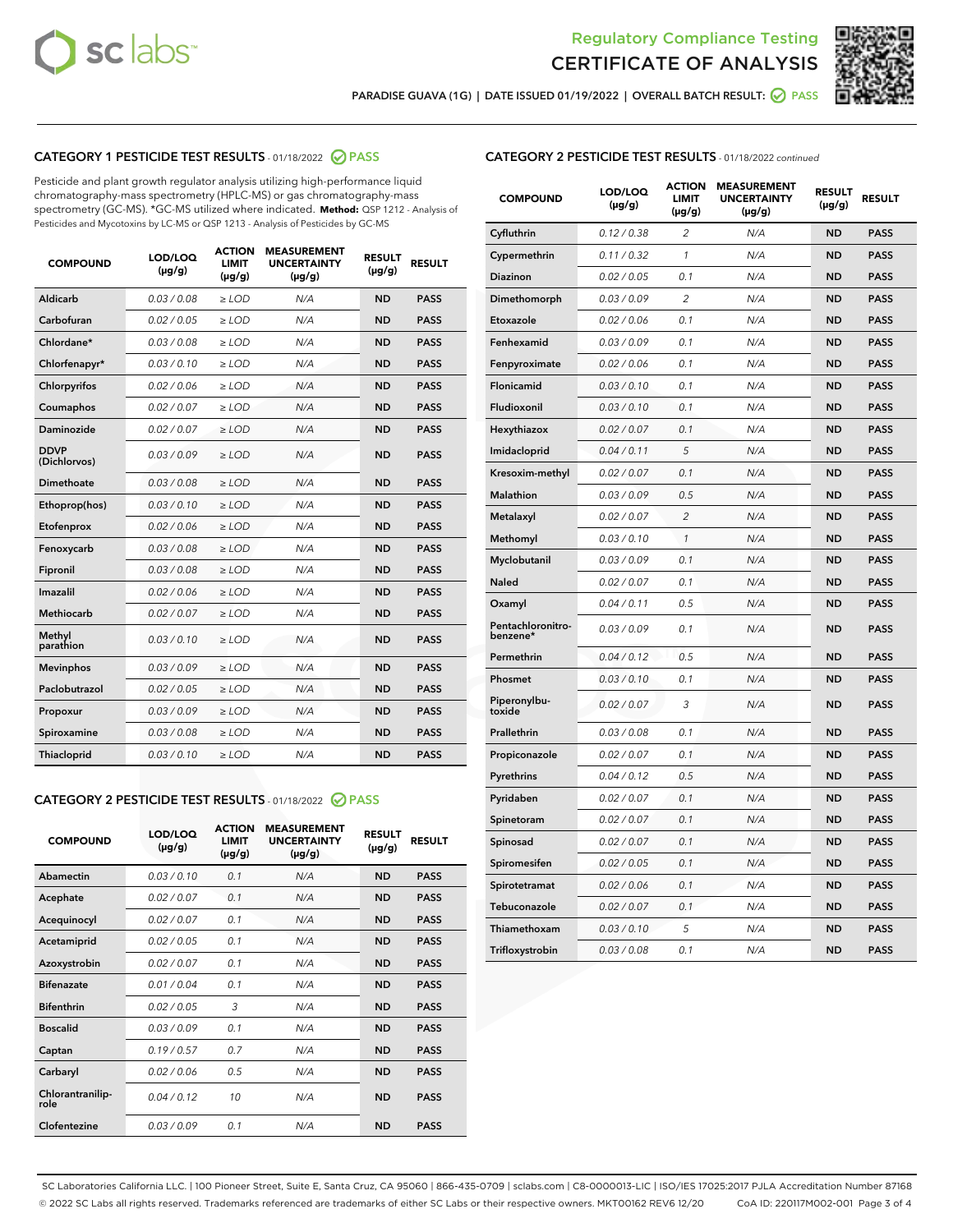



PARADISE GUAVA (1G) | DATE ISSUED 01/19/2022 | OVERALL BATCH RESULT:  $\bigcirc$  PASS

# CATEGORY 1 PESTICIDE TEST RESULTS - 01/18/2022 2 PASS

Pesticide and plant growth regulator analysis utilizing high-performance liquid chromatography-mass spectrometry (HPLC-MS) or gas chromatography-mass spectrometry (GC-MS). \*GC-MS utilized where indicated. **Method:** QSP 1212 - Analysis of Pesticides and Mycotoxins by LC-MS or QSP 1213 - Analysis of Pesticides by GC-MS

| <b>COMPOUND</b>             | LOD/LOQ<br>$(\mu g/g)$ | <b>ACTION</b><br><b>LIMIT</b><br>$(\mu g/g)$ | <b>MEASUREMENT</b><br><b>UNCERTAINTY</b><br>$(\mu g/g)$ | <b>RESULT</b><br>$(\mu g/g)$ | <b>RESULT</b> |
|-----------------------------|------------------------|----------------------------------------------|---------------------------------------------------------|------------------------------|---------------|
| Aldicarb                    | 0.03/0.08              | $>$ LOD                                      | N/A                                                     | <b>ND</b>                    | <b>PASS</b>   |
| Carbofuran                  | 0.02 / 0.05            | $\ge$ LOD                                    | N/A                                                     | <b>ND</b>                    | <b>PASS</b>   |
| Chlordane*                  | 0.03 / 0.08            | $\ge$ LOD                                    | N/A                                                     | <b>ND</b>                    | <b>PASS</b>   |
| Chlorfenapyr*               | 0.03/0.10              | $\ge$ LOD                                    | N/A                                                     | <b>ND</b>                    | <b>PASS</b>   |
| Chlorpyrifos                | 0.02 / 0.06            | $\ge$ LOD                                    | N/A                                                     | <b>ND</b>                    | <b>PASS</b>   |
| Coumaphos                   | 0.02 / 0.07            | $\ge$ LOD                                    | N/A                                                     | <b>ND</b>                    | <b>PASS</b>   |
| Daminozide                  | 0.02/0.07              | $>$ LOD                                      | N/A                                                     | <b>ND</b>                    | <b>PASS</b>   |
| <b>DDVP</b><br>(Dichlorvos) | 0.03/0.09              | $\ge$ LOD                                    | N/A                                                     | <b>ND</b>                    | <b>PASS</b>   |
| <b>Dimethoate</b>           | 0.03/0.08              | $\ge$ LOD                                    | N/A                                                     | <b>ND</b>                    | <b>PASS</b>   |
| Ethoprop(hos)               | 0.03/0.10              | $\ge$ LOD                                    | N/A                                                     | <b>ND</b>                    | <b>PASS</b>   |
| Etofenprox                  | 0.02 / 0.06            | $\ge$ LOD                                    | N/A                                                     | <b>ND</b>                    | <b>PASS</b>   |
| Fenoxycarb                  | 0.03/0.08              | $\ge$ LOD                                    | N/A                                                     | <b>ND</b>                    | <b>PASS</b>   |
| Fipronil                    | 0.03/0.08              | $\ge$ LOD                                    | N/A                                                     | <b>ND</b>                    | <b>PASS</b>   |
| Imazalil                    | 0.02 / 0.06            | $>$ LOD                                      | N/A                                                     | <b>ND</b>                    | <b>PASS</b>   |
| Methiocarb                  | 0.02 / 0.07            | $>$ LOD                                      | N/A                                                     | <b>ND</b>                    | <b>PASS</b>   |
| Methyl<br>parathion         | 0.03/0.10              | $>$ LOD                                      | N/A                                                     | <b>ND</b>                    | <b>PASS</b>   |
| <b>Mevinphos</b>            | 0.03/0.09              | $\ge$ LOD                                    | N/A                                                     | <b>ND</b>                    | <b>PASS</b>   |
| Paclobutrazol               | 0.02 / 0.05            | $>$ LOD                                      | N/A                                                     | <b>ND</b>                    | <b>PASS</b>   |
| Propoxur                    | 0.03/0.09              | $\ge$ LOD                                    | N/A                                                     | <b>ND</b>                    | <b>PASS</b>   |
| Spiroxamine                 | 0.03 / 0.08            | $\ge$ LOD                                    | N/A                                                     | <b>ND</b>                    | <b>PASS</b>   |
| Thiacloprid                 | 0.03/0.10              | $\ge$ LOD                                    | N/A                                                     | <b>ND</b>                    | <b>PASS</b>   |

# CATEGORY 2 PESTICIDE TEST RESULTS - 01/18/2022 2 PASS

| <b>COMPOUND</b>          | LOD/LOO<br>$(\mu g/g)$ | <b>ACTION</b><br>LIMIT<br>$(\mu g/g)$ | <b>MEASUREMENT</b><br><b>UNCERTAINTY</b><br>$(\mu g/g)$ | <b>RESULT</b><br>$(\mu g/g)$ | <b>RESULT</b> |  |
|--------------------------|------------------------|---------------------------------------|---------------------------------------------------------|------------------------------|---------------|--|
| Abamectin                | 0.03/0.10              | 0.1                                   | N/A                                                     | <b>ND</b>                    | <b>PASS</b>   |  |
| Acephate                 | 0.02/0.07              | 0.1                                   | N/A                                                     | <b>ND</b>                    | <b>PASS</b>   |  |
| Acequinocyl              | 0.02/0.07              | 0.1                                   | N/A                                                     | <b>ND</b>                    | <b>PASS</b>   |  |
| Acetamiprid              | 0.02/0.05              | 0.1                                   | N/A                                                     | <b>ND</b>                    | <b>PASS</b>   |  |
| Azoxystrobin             | 0.02/0.07              | 0.1                                   | N/A                                                     | <b>ND</b>                    | <b>PASS</b>   |  |
| <b>Bifenazate</b>        | 0.01 / 0.04            | 0.1                                   | N/A                                                     | <b>ND</b>                    | <b>PASS</b>   |  |
| <b>Bifenthrin</b>        | 0.02/0.05              | 3                                     | N/A                                                     | <b>ND</b>                    | <b>PASS</b>   |  |
| <b>Boscalid</b>          | 0.03/0.09              | 0.1                                   | N/A                                                     | <b>ND</b>                    | <b>PASS</b>   |  |
| Captan                   | 0.19/0.57              | 0.7                                   | N/A                                                     | <b>ND</b>                    | <b>PASS</b>   |  |
| Carbaryl                 | 0.02/0.06              | 0.5                                   | N/A                                                     | <b>ND</b>                    | <b>PASS</b>   |  |
| Chlorantranilip-<br>role | 0.04/0.12              | 10                                    | N/A                                                     | <b>ND</b>                    | <b>PASS</b>   |  |
| Clofentezine             | 0.03/0.09              | 0.1                                   | N/A                                                     | <b>ND</b>                    | <b>PASS</b>   |  |

| <b>CATEGORY 2 PESTICIDE TEST RESULTS</b> - 01/18/2022 continued |
|-----------------------------------------------------------------|
|-----------------------------------------------------------------|

| <b>COMPOUND</b>               | LOD/LOQ<br>(µg/g) | <b>ACTION</b><br><b>LIMIT</b><br>$(\mu g/g)$ | <b>MEASUREMENT</b><br><b>UNCERTAINTY</b><br>$(\mu g/g)$ | <b>RESULT</b><br>(µg/g) | <b>RESULT</b> |
|-------------------------------|-------------------|----------------------------------------------|---------------------------------------------------------|-------------------------|---------------|
| Cyfluthrin                    | 0.12 / 0.38       | $\overline{c}$                               | N/A                                                     | <b>ND</b>               | <b>PASS</b>   |
| Cypermethrin                  | 0.11 / 0.32       | 1                                            | N/A                                                     | ND                      | <b>PASS</b>   |
| <b>Diazinon</b>               | 0.02 / 0.05       | 0.1                                          | N/A                                                     | ND                      | <b>PASS</b>   |
| Dimethomorph                  | 0.03 / 0.09       | $\overline{2}$                               | N/A                                                     | <b>ND</b>               | <b>PASS</b>   |
| Etoxazole                     | 0.02 / 0.06       | 0.1                                          | N/A                                                     | <b>ND</b>               | <b>PASS</b>   |
| Fenhexamid                    | 0.03 / 0.09       | 0.1                                          | N/A                                                     | ND                      | <b>PASS</b>   |
| Fenpyroximate                 | 0.02 / 0.06       | 0.1                                          | N/A                                                     | <b>ND</b>               | <b>PASS</b>   |
| Flonicamid                    | 0.03 / 0.10       | 0.1                                          | N/A                                                     | <b>ND</b>               | <b>PASS</b>   |
| Fludioxonil                   | 0.03 / 0.10       | 0.1                                          | N/A                                                     | <b>ND</b>               | <b>PASS</b>   |
| Hexythiazox                   | 0.02 / 0.07       | 0.1                                          | N/A                                                     | <b>ND</b>               | <b>PASS</b>   |
| Imidacloprid                  | 0.04 / 0.11       | 5                                            | N/A                                                     | <b>ND</b>               | <b>PASS</b>   |
| Kresoxim-methyl               | 0.02 / 0.07       | 0.1                                          | N/A                                                     | <b>ND</b>               | <b>PASS</b>   |
| <b>Malathion</b>              | 0.03 / 0.09       | 0.5                                          | N/A                                                     | <b>ND</b>               | <b>PASS</b>   |
| Metalaxyl                     | 0.02 / 0.07       | $\overline{2}$                               | N/A                                                     | <b>ND</b>               | <b>PASS</b>   |
| Methomyl                      | 0.03 / 0.10       | $\mathbf{1}$                                 | N/A                                                     | <b>ND</b>               | <b>PASS</b>   |
| Myclobutanil                  | 0.03 / 0.09       | 0.1                                          | N/A                                                     | ND                      | <b>PASS</b>   |
| <b>Naled</b>                  | 0.02 / 0.07       | 0.1                                          | N/A                                                     | <b>ND</b>               | <b>PASS</b>   |
| Oxamyl                        | 0.04 / 0.11       | 0.5                                          | N/A                                                     | <b>ND</b>               | <b>PASS</b>   |
| Pentachloronitro-<br>benzene* | 0.03 / 0.09       | 0.1                                          | N/A                                                     | <b>ND</b>               | <b>PASS</b>   |
| Permethrin                    | 0.04 / 0.12       | 0.5                                          | N/A                                                     | ND                      | <b>PASS</b>   |
| Phosmet                       | 0.03 / 0.10       | 0.1                                          | N/A                                                     | <b>ND</b>               | <b>PASS</b>   |
| Piperonylbu-<br>toxide        | 0.02 / 0.07       | 3                                            | N/A                                                     | ND                      | <b>PASS</b>   |
| Prallethrin                   | 0.03 / 0.08       | 0.1                                          | N/A                                                     | <b>ND</b>               | <b>PASS</b>   |
| Propiconazole                 | 0.02 / 0.07       | 0.1                                          | N/A                                                     | <b>ND</b>               | <b>PASS</b>   |
| Pyrethrins                    | 0.04 / 0.12       | 0.5                                          | N/A                                                     | ND                      | <b>PASS</b>   |
| Pyridaben                     | 0.02 / 0.07       | 0.1                                          | N/A                                                     | <b>ND</b>               | <b>PASS</b>   |
| Spinetoram                    | 0.02 / 0.07       | 0.1                                          | N/A                                                     | ND                      | PASS          |
| Spinosad                      | 0.02 / 0.07       | 0.1                                          | N/A                                                     | ND                      | <b>PASS</b>   |
| Spiromesifen                  | 0.02 / 0.05       | 0.1                                          | N/A                                                     | <b>ND</b>               | <b>PASS</b>   |
| Spirotetramat                 | 0.02 / 0.06       | 0.1                                          | N/A                                                     | <b>ND</b>               | <b>PASS</b>   |
| Tebuconazole                  | 0.02 / 0.07       | 0.1                                          | N/A                                                     | ND                      | PASS          |
| Thiamethoxam                  | 0.03 / 0.10       | 5                                            | N/A                                                     | ND                      | <b>PASS</b>   |
| Trifloxystrobin               | 0.03 / 0.08       | 0.1                                          | N/A                                                     | <b>ND</b>               | <b>PASS</b>   |

SC Laboratories California LLC. | 100 Pioneer Street, Suite E, Santa Cruz, CA 95060 | 866-435-0709 | sclabs.com | C8-0000013-LIC | ISO/IES 17025:2017 PJLA Accreditation Number 87168 © 2022 SC Labs all rights reserved. Trademarks referenced are trademarks of either SC Labs or their respective owners. MKT00162 REV6 12/20 CoA ID: 220117M002-001 Page 3 of 4